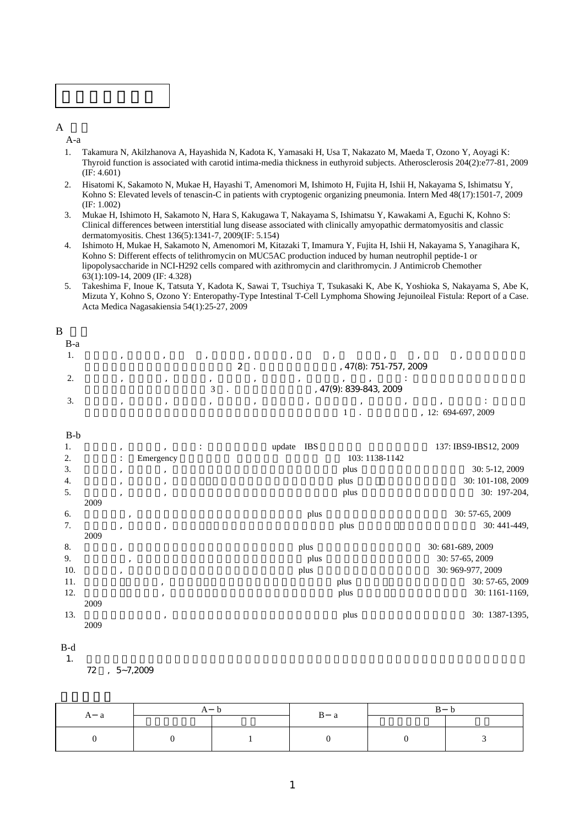

 $\overline{A}$ 

A-a

- 1. Takamura N, Akilzhanova A, Hayashida N, Kadota K, Yamasaki H, Usa T, Nakazato M, Maeda T, Ozono Y, Aoyagi K: Thyroid function is associated with carotid intima-media thickness in euthyroid subjects. Atherosclerosis 204(2):e77-81, 2009 (IF: 4.601)
- 2. Hisatomi K, Sakamoto N, Mukae H, Hayashi T, Amenomori M, Ishimoto H, Fujita H, Ishii H, Nakayama S, Ishimatsu Y, Kohno S: Elevated levels of tenascin-C in patients with cryptogenic organizing pneumonia. Intern Med 48(17):1501-7, 2009 (IF: 1.002)
- 3. Mukae H, Ishimoto H, Sakamoto N, Hara S, Kakugawa T, Nakayama S, Ishimatsu Y, Kawakami A, Eguchi K, Kohno S: Clinical differences between interstitial lung disease associated with clinically amyopathic dermatomyositis and classic dermatomyositis. Chest 136(5):1341-7, 2009(IF: 5.154)
- 4. Ishimoto H, Mukae H, Sakamoto N, Amenomori M, Kitazaki T, Imamura Y, Fujita H, Ishii H, Nakayama S, Yanagihara K, Kohno S: Different effects of telithromycin on MUC5AC production induced by human neutrophil peptide-1 or lipopolysaccharide in NCI-H292 cells compared with azithromycin and clarithromycin. J Antimicrob Chemother 63(1):109-14, 2009 (IF: 4.328)
- 5. Takeshima F, Inoue K, Tatsuta Y, Kadota K, Sawai T, Tsuchiya T, Tsukasaki K, Abe K, Yoshioka S, Nakayama S, Abe K, Mizuta Y, Kohno S, Ozono Y: Enteropathy-Type Intestinal T-Cell Lymphoma Showing Jejunoileal Fistula: Report of a Case. Acta Medica Nagasakiensia 54(1):25-27, 2009

| B     |  |   |                        |                                |                   |  |
|-------|--|---|------------------------|--------------------------------|-------------------|--|
| $B-a$ |  |   |                        |                                |                   |  |
| .,    |  | 2 |                        | , $47(8)$ : $751-757$ , $2009$ |                   |  |
| ٠.    |  |   | , 47(9): 839-843, 2009 |                                |                   |  |
| 3.    |  |   |                        |                                | 12: 694-697, 2009 |  |

| $B-b$ |      |                |                                                                                             |                |        |      |                |                       |
|-------|------|----------------|---------------------------------------------------------------------------------------------|----------------|--------|------|----------------|-----------------------|
| 1.    |      | $\cdot$        | $\cdot$                                                                                     | $\ddot{\cdot}$ | update | IBS  |                | 137: IBS9-IBS12, 2009 |
| 2.    |      | $\ddot{\cdot}$ | Emergency                                                                                   |                |        |      | 103: 1138-1142 |                       |
| 3.    |      | ,              | $^\mathrm{^\mathrm{^\mathrm{^\mathrm{^\mathrm{^\mathrm{^\mathrm{^\mathrm{^\mathrm{}}}}}}}}$ |                |        |      | plus           | 30: 5-12, 2009        |
| 4.    |      | $, \,$         | $^\mathrm{^\mathrm{^\mathrm{^\mathrm{^\mathrm{^\mathrm{^\mathrm{^\mathrm{^\mathrm{}}}}}}}}$ |                |        |      | plus           | 30: 101-108, 2009     |
| 5.    |      | $\cdot$        | $\cdot$                                                                                     |                |        |      | plus           | 30: 197-204,          |
|       | 2009 |                |                                                                                             |                |        |      |                |                       |
| 6.    |      | $, \,$         |                                                                                             |                |        | plus |                | 30: 57-65, 2009       |
| 7.    |      | $\cdot$        | $, \,$                                                                                      |                |        |      | plus           | 30: 441-449,          |
|       | 2009 |                |                                                                                             |                |        |      |                |                       |
| 8.    |      | $, \,$         |                                                                                             |                |        | plus |                | 30: 681-689, 2009     |
| 9.    |      | $\cdot$        |                                                                                             |                |        | plus |                | 30: 57-65, 2009       |
| 10.   |      | ٠              |                                                                                             |                |        | plus |                | 30: 969-977, 2009     |
| 11.   |      |                | $\cdot$                                                                                     |                |        |      | plus           | 30: 57-65, 2009       |
| 12.   |      |                | ,                                                                                           |                |        |      | plus           | 30: 1161-1169,        |
|       | 2009 |                |                                                                                             |                |        |      |                |                       |
| 13.   |      |                | $\cdot$                                                                                     |                |        |      | plus           | 30: 1387-1395.        |
|       | 2009 |                |                                                                                             |                |        |      |                |                       |
|       |      |                |                                                                                             |                |        |      |                |                       |

B-d

1.  $\blacksquare$ 

 $72$ ,  $5 - 7,2009$ 

| u |  |  | a |  |  |  |
|---|--|--|---|--|--|--|
|   |  |  |   |  |  |  |